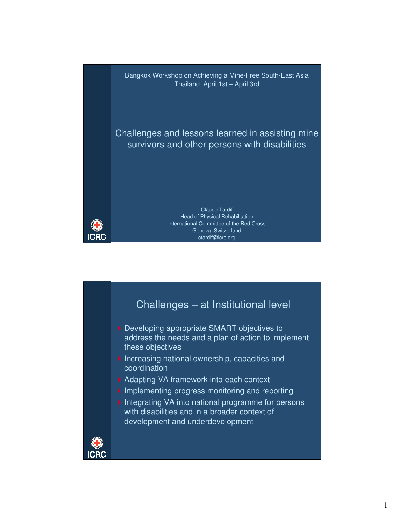